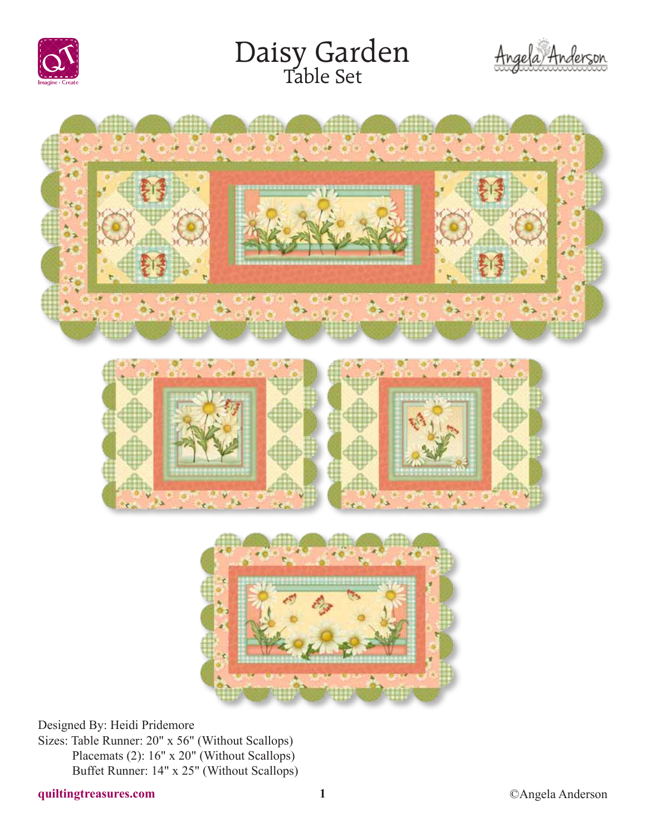

# Daisy Garden<br>Table Set







Designed By: Heidi Pridemore

Sizes: Table Runner: 20" x 56" (Without Scallops) Placemats (2): 16" x 20" (Without Scallops) Buffet Runner: 14" x 25" (Without Scallops)

# **quiltingtreasures.com 1** ©Angela Anderson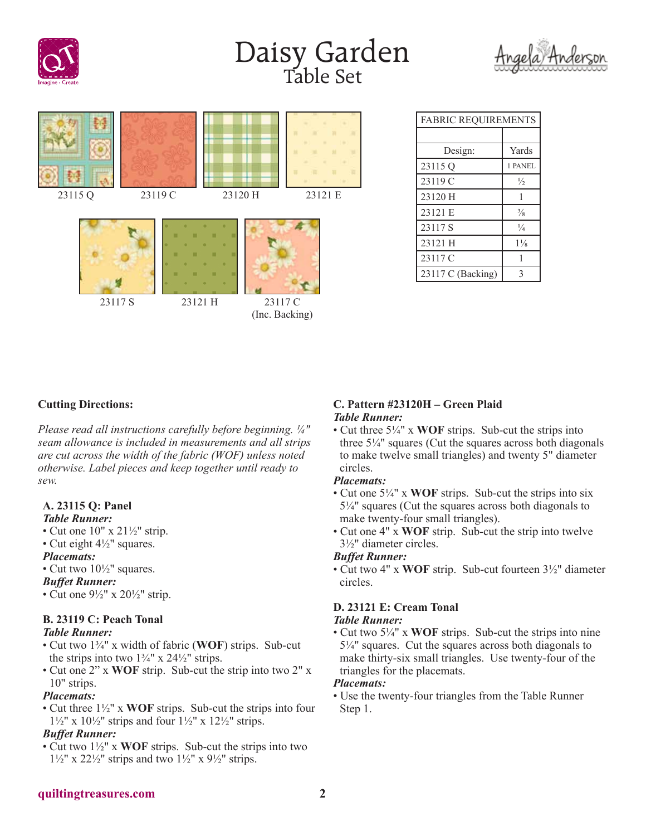

# Daisy Garden<br>Table Set





| <b>FABRIC REQUIREMENTS</b> |                |
|----------------------------|----------------|
|                            |                |
| Design:                    | Yards          |
| 23115 Q                    | 1 PANEL        |
| 23119 C                    | $\frac{1}{2}$  |
| 23120 H                    |                |
| 23121 E                    | $\frac{3}{8}$  |
| 23117 S                    | $\frac{1}{4}$  |
| 23121 H                    | $1\frac{1}{8}$ |
| 23117 C                    |                |
| 23117 C (Backing)          | 3              |

## **Cutting Directions:**

*Please read all instructions carefully before beginning. ¼" seam allowance is included in measurements and all strips are cut across the width of the fabric (WOF) unless noted otherwise. Label pieces and keep together until ready to sew.*

## **A. 23115 Q: Panel**

#### *Table Runner:*

- Cut one  $10'' \times 21\frac{1}{2}$  strip.
- Cut eight 4½" squares.

#### *Placemats:*

• Cut two  $10\frac{1}{2}$ " squares.

#### *Buffet Runner:*

• Cut one  $9\frac{1}{2}$ " x  $20\frac{1}{2}$ " strip.

# **B. 23119 C: Peach Tonal**

# *Table Runner:*

- Cut two 1¾" x width of fabric (**WOF**) strips. Sub-cut the strips into two  $1\frac{3}{4}$ " x  $24\frac{1}{2}$ " strips.
- Cut one 2" x **WOF** strip. Sub-cut the strip into two 2" x 10" strips.

#### *Placemats:*

• Cut three 1½" x **WOF** strips. Sub-cut the strips into four  $1\frac{1}{2}$ " x  $10\frac{1}{2}$ " strips and four  $1\frac{1}{2}$ " x  $12\frac{1}{2}$ " strips.

#### *Buffet Runner:*

• Cut two 1½" x **WOF** strips. Sub-cut the strips into two  $1\frac{1}{2}$ " x  $2\frac{1}{2}$ " strips and two  $1\frac{1}{2}$ " x  $9\frac{1}{2}$ " strips.

#### **C. Pattern #23120H – Green Plaid** *Table Runner:*

• Cut three 5¼" x **WOF** strips. Sub-cut the strips into three  $5\frac{1}{4}$ " squares (Cut the squares across both diagonals to make twelve small triangles) and twenty 5" diameter circles.

#### *Placemats:*

- Cut one 5¼" x **WOF** strips. Sub-cut the strips into six 5¼" squares (Cut the squares across both diagonals to make twenty-four small triangles).
- Cut one 4" x **WOF** strip. Sub-cut the strip into twelve 3½" diameter circles.

#### *Buffet Runner:*

• Cut two 4" x **WOF** strip. Sub-cut fourteen 3½" diameter circles.

# **D. 23121 E: Cream Tonal**

## *Table Runner:*

• Cut two 5¼" x **WOF** strips. Sub-cut the strips into nine  $5\frac{1}{4}$ " squares. Cut the squares across both diagonals to make thirty-six small triangles. Use twenty-four of the triangles for the placemats.

#### *Placemats:*

• Use the twenty-four triangles from the Table Runner Step 1.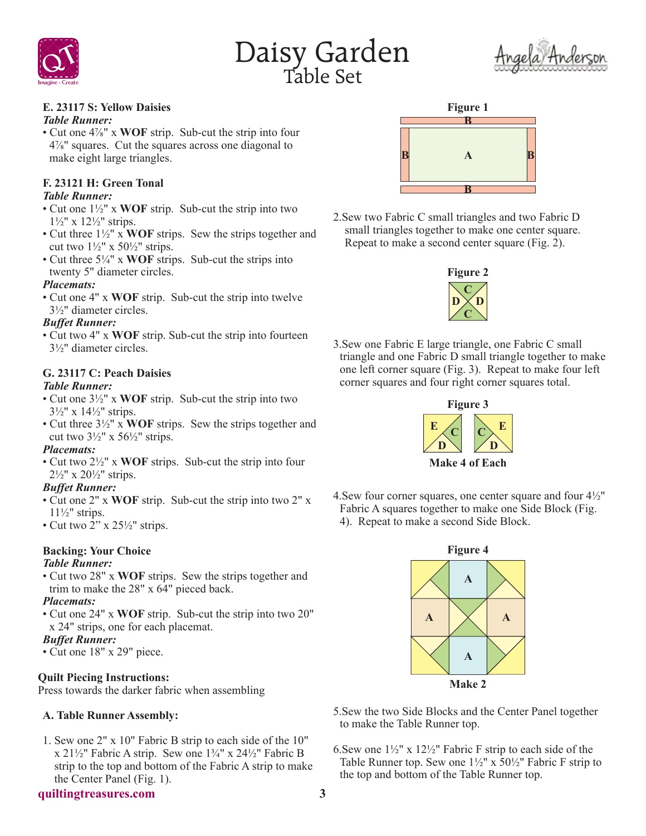





# **E. 23117 S: Yellow Daisies**

#### *Table Runner:*

• Cut one 4⅞" x **WOF** strip. Sub-cut the strip into four 4⅞" squares. Cut the squares across one diagonal to make eight large triangles.

#### **F. 23121 H: Green Tonal** *Table Runner:*

- Cut one 1½" x **WOF** strip. Sub-cut the strip into two
- 1½" x 12½" strips.
- Cut three 1½" x **WOF** strips. Sew the strips together and cut two  $1\frac{1}{2}$ " x 50 $\frac{1}{2}$ " strips.
- Cut three 5¼" x **WOF** strips. Sub-cut the strips into twenty 5" diameter circles.

## *Placemats:*

• Cut one 4" x **WOF** strip. Sub-cut the strip into twelve 3½" diameter circles.

# *Buffet Runner:*

• Cut two 4" x **WOF** strip. Sub-cut the strip into fourteen 3½" diameter circles.

# **G. 23117 C: Peach Daisies**

# *Table Runner:*

- Cut one 3½" x **WOF** strip. Sub-cut the strip into two  $3\frac{1}{2}$ " x  $14\frac{1}{2}$ " strips.
- Cut three 3½" x **WOF** strips. Sew the strips together and cut two  $3\frac{1}{2}$ " x  $56\frac{1}{2}$ " strips.

# *Placemats:*

• Cut two 2½" x **WOF** strips. Sub-cut the strip into four  $2\frac{1}{2}$ " x  $20\frac{1}{2}$ " strips.

## *Buffet Runner:*

- Cut one 2" x **WOF** strip. Sub-cut the strip into two 2" x  $11\frac{1}{2}$ " strips.
- Cut two  $2$ " x 25 $\frac{1}{2}$ " strips.

# **Backing: Your Choice**

# *Table Runner:*

• Cut two 28" x **WOF** strips. Sew the strips together and trim to make the 28" x 64" pieced back.

# *Placemats:*

• Cut one 24" x **WOF** strip. Sub-cut the strip into two 20" x 24" strips, one for each placemat.

# *Buffet Runner:*

• Cut one 18" x 29" piece.

# **Quilt Piecing Instructions:**

Press towards the darker fabric when assembling

# **A. Table Runner Assembly:**

1. Sew one 2" x 10" Fabric B strip to each side of the 10" x 21 $\frac{1}{2}$ " Fabric A strip. Sew one 1 $\frac{3}{4}$ " x 24 $\frac{1}{2}$ " Fabric B strip to the top and bottom of the Fabric A strip to make the Center Panel (Fig. 1).

## **quiltingtreasures.com 3**



2.Sew two Fabric C small triangles and two Fabric D small triangles together to make one center square. Repeat to make a second center square (Fig. 2).



3.Sew one Fabric E large triangle, one Fabric C small triangle and one Fabric D small triangle together to make one left corner square (Fig. 3). Repeat to make four left corner squares and four right corner squares total.



4. Sew four corner squares, one center square and four  $4\frac{1}{2}$ " Fabric A squares together to make one Side Block (Fig. 4). Repeat to make a second Side Block.



- 5.Sew the two Side Blocks and the Center Panel together to make the Table Runner top.
- 6.Sew one 1½" x 12½" Fabric F strip to each side of the Table Runner top. Sew one  $1\frac{1}{2}$ " x  $50\frac{1}{2}$ " Fabric F strip to the top and bottom of the Table Runner top.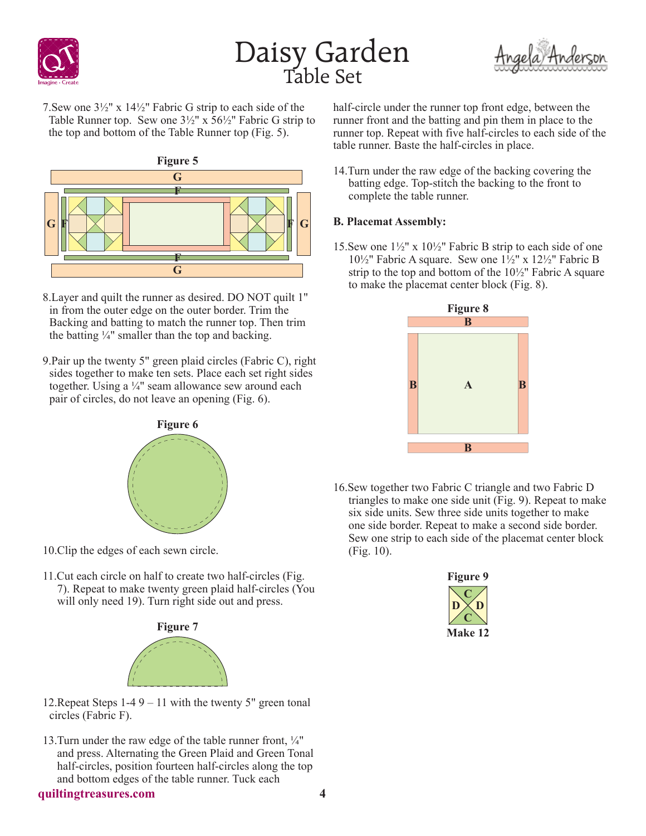





7.Sew one 3½" x 14½" Fabric G strip to each side of the Table Runner top. Sew one 3½" x 56½" Fabric G strip to the top and bottom of the Table Runner top (Fig. 5).



- 8.Layer and quilt the runner as desired. DO NOT quilt 1" in from the outer edge on the outer border. Trim the Backing and batting to match the runner top. Then trim the batting  $\frac{1}{4}$ " smaller than the top and backing.
- 9.Pair up the twenty 5" green plaid circles (Fabric C), right sides together to make ten sets. Place each set right sides together. Using a ¼" seam allowance sew around each pair of circles, do not leave an opening (Fig. 6).



- 10.Clip the edges of each sewn circle.
- 11.Cut each circle on half to create two half-circles (Fig. 7). Repeat to make twenty green plaid half-circles (You will only need 19). Turn right side out and press.



- 12. Repeat Steps  $1-49 11$  with the twenty 5" green tonal circles (Fabric F).
- 13.Turn under the raw edge of the table runner front, ¼" and press. Alternating the Green Plaid and Green Tonal half-circles, position fourteen half-circles along the top and bottom edges of the table runner. Tuck each

#### half-circle under the runner top front edge, between the runner front and the batting and pin them in place to the runner top. Repeat with five half-circles to each side of the table runner. Baste the half-circles in place.

14.Turn under the raw edge of the backing covering the batting edge. Top-stitch the backing to the front to complete the table runner.

# **B. Placemat Assembly:**

15.Sew one 1½" x 10½" Fabric B strip to each side of one 10½" Fabric A square. Sew one 1½" x 12½" Fabric B strip to the top and bottom of the 10½" Fabric A square to make the placemat center block (Fig. 8).



16.Sew together two Fabric C triangle and two Fabric D triangles to make one side unit (Fig. 9). Repeat to make six side units. Sew three side units together to make one side border. Repeat to make a second side border. Sew one strip to each side of the placemat center block (Fig. 10).

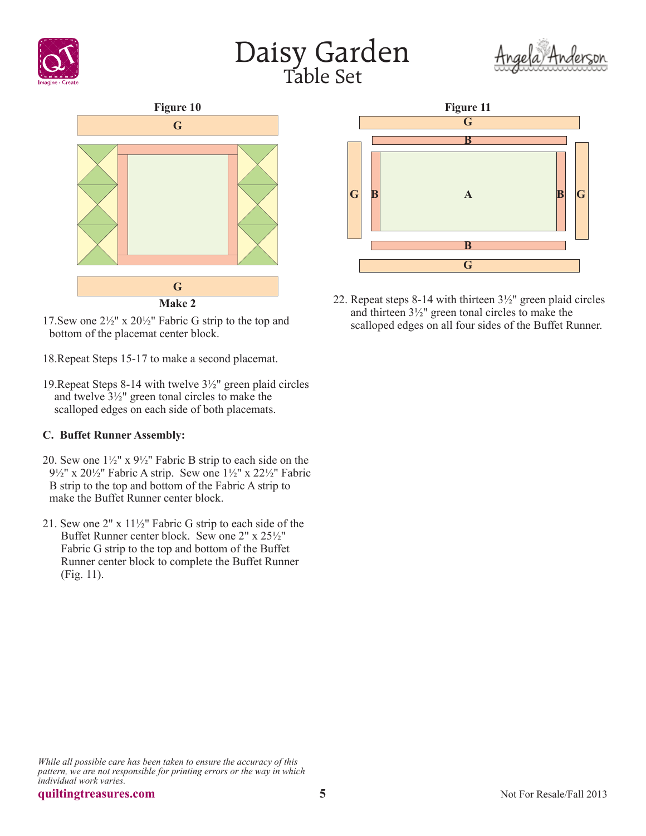









- 22. Repeat steps 8-14 with thirteen 3½" green plaid circles and thirteen 3½" green tonal circles to make the scalloped edges on all four sides of the Buffet Runner.
- 17.Sew one 2½" x 20½" Fabric G strip to the top and bottom of the placemat center block.
- 18.Repeat Steps 15-17 to make a second placemat.
- 19.Repeat Steps 8-14 with twelve 3½" green plaid circles and twelve 3½" green tonal circles to make the scalloped edges on each side of both placemats.

# **C. Buffet Runner Assembly:**

- 20. Sew one  $1\frac{1}{2}$ " x  $9\frac{1}{2}$ " Fabric B strip to each side on the 9½" x 20½" Fabric A strip. Sew one 1½" x 22½" Fabric B strip to the top and bottom of the Fabric A strip to make the Buffet Runner center block.
- 21. Sew one 2" x 11½" Fabric G strip to each side of the Buffet Runner center block. Sew one 2" x 25½" Fabric G strip to the top and bottom of the Buffet Runner center block to complete the Buffet Runner (Fig. 11).

*While all possible care has been taken to ensure the accuracy of this pattern, we are not responsible for printing errors or the way in which individual work varies.*